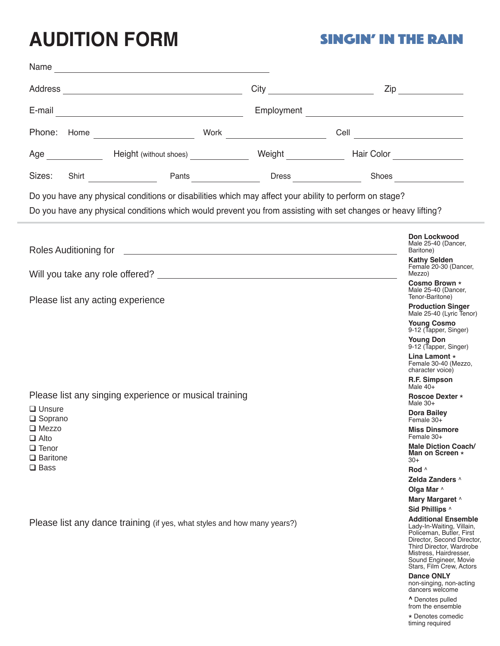## **AUDITION FORM**

۰

## Singin' in the Rain

| Name                                                                                                                                                                                                                    |                                                                                                                                                                                                                                                                                                                                                                                                   |                                                 |       |                                                             |                                                                                                                      |                                                                                                                                                                                                                                                                                                                         |  |  |  |  |  |  |
|-------------------------------------------------------------------------------------------------------------------------------------------------------------------------------------------------------------------------|---------------------------------------------------------------------------------------------------------------------------------------------------------------------------------------------------------------------------------------------------------------------------------------------------------------------------------------------------------------------------------------------------|-------------------------------------------------|-------|-------------------------------------------------------------|----------------------------------------------------------------------------------------------------------------------|-------------------------------------------------------------------------------------------------------------------------------------------------------------------------------------------------------------------------------------------------------------------------------------------------------------------------|--|--|--|--|--|--|
| Address                                                                                                                                                                                                                 |                                                                                                                                                                                                                                                                                                                                                                                                   |                                                 |       | City<br><u> 1990 - Johann Barbara, martxa eta politikar</u> | $\mathsf{Zip} \_\_$                                                                                                  |                                                                                                                                                                                                                                                                                                                         |  |  |  |  |  |  |
| E-mail                                                                                                                                                                                                                  |                                                                                                                                                                                                                                                                                                                                                                                                   | <u> 1980 - Johann Barnett, fransk politik (</u> |       | Employment                                                  | <u> 1989 - Johann Barbara, martin amerikan basar dan basa dan basar dalam basa dalam basa dalam basa dalam basa </u> |                                                                                                                                                                                                                                                                                                                         |  |  |  |  |  |  |
| Phone:                                                                                                                                                                                                                  | Home                                                                                                                                                                                                                                                                                                                                                                                              |                                                 |       | Work ______________________________                         |                                                                                                                      |                                                                                                                                                                                                                                                                                                                         |  |  |  |  |  |  |
|                                                                                                                                                                                                                         | Age                                                                                                                                                                                                                                                                                                                                                                                               |                                                 |       |                                                             |                                                                                                                      | Hair Color <u>New York National American New York New York 1989</u>                                                                                                                                                                                                                                                     |  |  |  |  |  |  |
| Sizes:                                                                                                                                                                                                                  | Shirt                                                                                                                                                                                                                                                                                                                                                                                             |                                                 | Pants |                                                             | Dress                                                                                                                | Shoes                                                                                                                                                                                                                                                                                                                   |  |  |  |  |  |  |
| Do you have any physical conditions or disabilities which may affect your ability to perform on stage?<br>Do you have any physical conditions which would prevent you from assisting with set changes or heavy lifting? |                                                                                                                                                                                                                                                                                                                                                                                                   |                                                 |       |                                                             |                                                                                                                      |                                                                                                                                                                                                                                                                                                                         |  |  |  |  |  |  |
| Please list any acting experience                                                                                                                                                                                       | Don Lockwood<br>Male 25-40 (Dancer,<br>Baritone)<br><b>Kathy Selden</b><br>Female 20-30 (Dancer,<br>Mezzo)<br>Cosmo Brown *<br>Male 25-40 (Dancer,<br>Tenor-Baritone)<br><b>Production Singer</b>                                                                                                                                                                                                 |                                                 |       |                                                             |                                                                                                                      |                                                                                                                                                                                                                                                                                                                         |  |  |  |  |  |  |
| Please list any singing experience or musical training<br>$\Box$ Unsure<br>$\square$ Soprano<br>$\Box$ Mezzo<br>$\Box$ Alto<br>$\Box$ Tenor<br>$\Box$ Baritone<br>$\square$ Bass                                        | Male 25-40 (Lyric Tenor)<br><b>Young Cosmo</b><br>9-12 (Tapper, Singer)<br><b>Young Don</b><br>9-12 (Tapper, Singer)<br>Lina Lamont *<br>Female 30-40 (Mezzo,<br>character voice)<br>R.F. Simpson<br>Male 40+<br><b>Roscoe Dexter *</b><br>Male 30+<br>Dora Bailey<br>Female $30+$<br><b>Miss Dinsmore</b><br>Female 30+<br><b>Male Diction Coach/</b><br>Man on Screen *<br>$30+$<br>Rod $\land$ |                                                 |       |                                                             |                                                                                                                      |                                                                                                                                                                                                                                                                                                                         |  |  |  |  |  |  |
| Please list any dance training (if yes, what styles and how many years?)                                                                                                                                                |                                                                                                                                                                                                                                                                                                                                                                                                   |                                                 |       |                                                             |                                                                                                                      | Zelda Zanders ^<br>Olga Mar ^<br>Mary Margaret ^<br>Sid Phillips ^<br><b>Additional Ensemble</b><br>Lady-In-Waiting, Villain,<br>Policeman, Butler, First<br>Director, Second Director,<br>Third Director, Wardrobe<br>Mistress, Hairdresser,<br>Sound Engineer, Movie<br>Stars, Film Crew, Actors<br><b>Dance ONLY</b> |  |  |  |  |  |  |

non-singing, non-acting dancers welcome

**^** Denotes pulled from the ensemble

\* Denotes comedic timing required